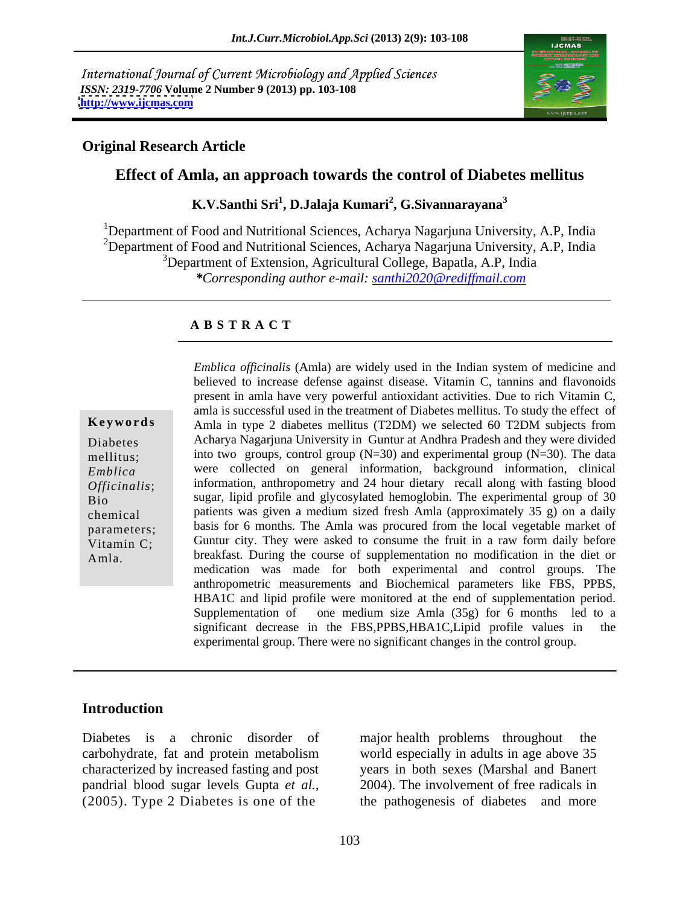International Journal of Current Microbiology and Applied Sciences *ISSN: 2319-7706* **Volume 2 Number 9 (2013) pp. 103-108 <http://www.ijcmas.com>**



## **Original Research Article**

### **Effect of Amla, an approach towards the control of Diabetes mellitus**

**K.V.Santhi Sri<sup>1</sup> , D.Jalaja Kumari<sup>2</sup> , G.Sivannarayana<sup>3</sup>**

<sup>1</sup>Department of Food and Nutritional Sciences, Acharya Nagarjuna University, A.P, India <sup>2</sup>Department of Food and Nutritional Sciences, Acharya Nagarjuna University, A.P, India <sup>3</sup>Department of Extension, Agricultural College, Bapatla, A.P, India

*\*Corresponding author e-mail: santhi2020@rediffmail.com*

#### **A B S T R A C T**

**Keywords** Amla in type 2 diabetes mellitus (T2DM) we selected 60 T2DM subjects from Diabetes Acharya Nagarjuna University in Guntur at Andhra Pradesh and they were divided mellitus; into two groups, control group (N=30) and experimental group (N=30). The data *Emblica* were collected on general information, background information, clinical *Officinalis*; information, anthropometry and 24 hour dietary recall along with fasting blood Bio<br>Bio<br>
Bio<br>
Sugar, lipid profile and glycosylated hemoglobin. The experimental group of 30 chemical patients was given a medium sized fresh Amla (approximately 35 g) on a daily parameters; basis for 6 months. The Amla was procured from the local vegetable market of Vitamin C; Guntur city. They were asked to consume the fruit in a raw form daily before *Emblica officinalis* (Amla) are widely used in the Indian system of medicine and believed to increase defense against disease. Vitamin C, present in and flavonoids and the present in and an exergence against discussion an believed to increase defense against disease. Vitamin C, tannins and flavonoids present in amla have very powerful antioxidant activities. Due to rich Vitamin C, amla is successful used in the treatment of Diabetes mellitus. To study the effect of breakfast. During the course of supplementation no modification in the diet or medication was made for both experimental and control groups. The anthropometric measurements and Biochemical parameters like FBS, PPBS, HBA1C and lipid profile were monitored at the end of supplementation period. Supplementation of one medium size Amla  $(35g)$  for 6 months led to a significant decrease in the FBS,PPBS,HBA1C,Lipid profile values in the experimental group. There were no significant changes in the control group.

### **Introduction**

characterized by increased fasting and post pandrial blood sugar levels Gupta *et al.,* (2005). Type 2 Diabetes is one of the the pathogenesis of diabetes and more

Diabetes is a chronic disorder of major health problems throughout the carbohydrate, fat and protein metabolism world especially in adults in age above 35 major health problems throughout years in both sexes (Marshal and Banert 2004). The involvement of free radicals in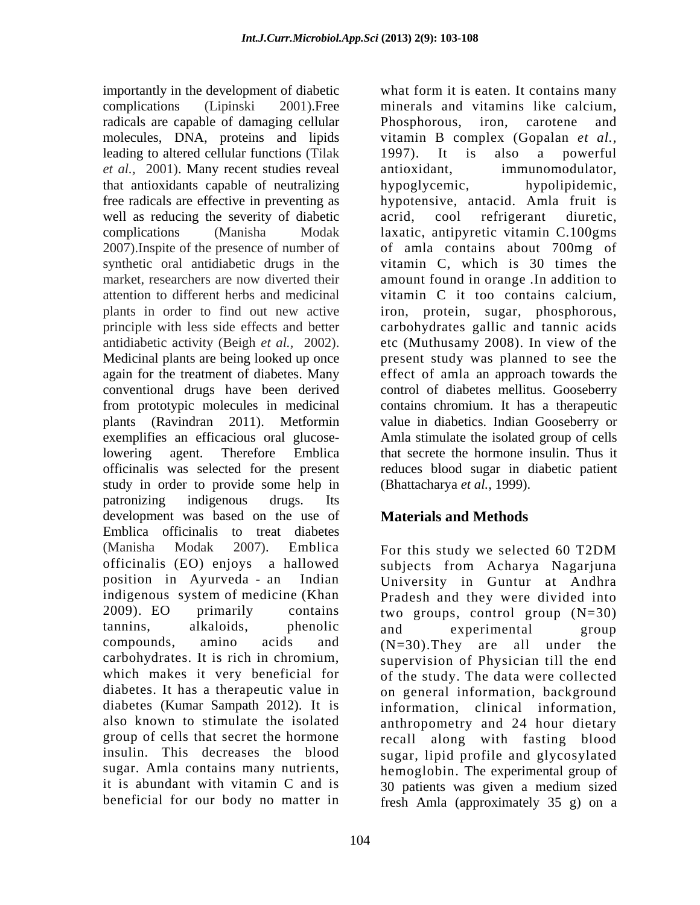importantly in the development of diabetic what form it is eaten. It contains many complications (Lipinski 2001).Free minerals and vitamins like calcium, radicals are capable of damaging cellular Phosphorous, iron, carotene and molecules, DNA, proteins and lipids vitamin B complex (Gopalan *et al.,* leading to altered cellular functions (Tilak 1997). It is also a powerful *et al.,* 2001). Many recent studies reveal that antioxidants capable of neutralizing free radicals are effective in preventing as hypotensive, antacid. Amla fruit is well as reducing the severity of diabetic acrid, cool refrigerant diuretic, complications (Manisha Modak laxatic, antipyretic vitamin C.100gms 2007).Inspite of the presence of number of of amla contains about 700mg of synthetic oral antidiabetic drugs in the vitamin C, which is 30 times the market, researchers are now diverted their amount found in orange .In addition to attention to different herbs and medicinal vitamin C it too contains calcium, plants in order to find out new active principle with less side effects and better carbohydrates gallic and tannic acids antidiabetic activity (Beigh *et al.,* 2002). etc (Muthusamy 2008). In view of the Medicinal plants are being looked up once present study was planned to see the again for the treatment of diabetes. Many effect of amla an approach towards the conventional drugs have been derived control of diabetes mellitus. Gooseberry from prototypic molecules in medicinal contains chromium. It has a therapeutic plants (Ravindran 2011). Metformin value in diabetics. Indian Gooseberry or exemplifies an efficacious oral glucoselowering agent. Therefore Emblica that secrete the hormone insulin. Thus it officinalis was selected for the present reduces blood sugar in diabetic patient study in order to provide some help in patronizing indigenous drugs. Its development was based on the use of Emblica officinalis to treat diabetes (Manisha Modak 2007). Emblica For this study we selected 60 T2DM officinalis (EO) enjoys a hallowed subjects from Acharya Nagarjuna position in Ayurveda - an Indian University in Guntur at Andhra indigenous system of medicine (Khan Pradesh and they were divided into 2009). EO primarily contains two groups, control group (N=30) tannins, alkaloids, phenolic compounds, amino acids and (N=30).They are all under the carbohydrates. It is rich in chromium, supervision of Physician till the end which makes it very beneficial for diabetes. It has a therapeutic value in on general information, background diabetes (Kumar Sampath 2012). It is information, clinical information, also known to stimulate the isolated anthropometry and 24 hour dietary group of cells that secret the hormone recall along with fasting blood insulin. This decreases the blood sugar, lipid profile and glycosylated sugar. Amla contains many nutrients, hemoglobin. The experimental group of it is abundant with vitamin C and is 30 patients was given a medium sized

Phosphorous, iron, carotene and 1997). It is also a powerful immunomodulator, hypoglycemic, hypolipidemic, acrid, cool refrigerant diuretic, iron, protein, sugar, phosphorous, Amla stimulate the isolated group of cells (Bhattacharya *et al.,* 1999).

# **Materials and Methods**

beneficial for our body no matter in fresh Amla (approximately 35 g) on aFor this study we selected 60 T2DM and experimental group of the study. The data were collected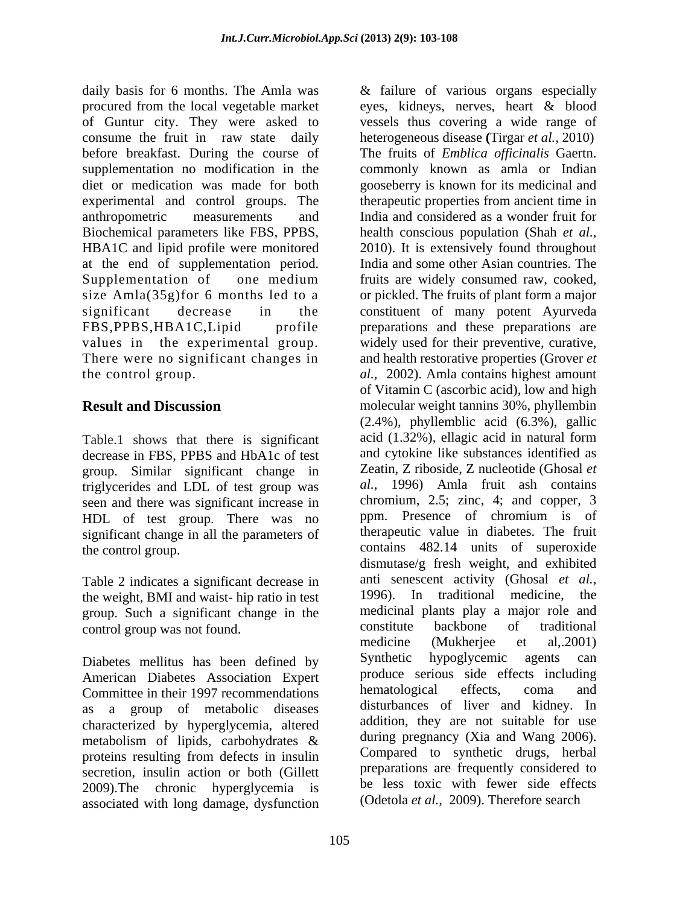daily basis for 6 months. The Amla was & failure of various organs especially procured from the local vegetable market eyes, kidneys, nerves, heart & blood of Guntur city. They were asked to consume the fruit in raw state daily heterogeneous disease **(**Tirgar *et al.,* 2010) before breakfast. During the course of The fruits of *Emblica of icinalis* Gaertn. supplementation no modification in the commonly known as amla or Indian diet or medication was made for both gooseberry is known for its medicinal and experimental and control groups. The therapeutic properties from ancient time in anthropometric measurements and India and considered as a wonder fruit for Biochemical parameters like FBS, PPBS, HBA1C and lipid profile were monitored 2010). It is extensively found throughout at the end of supplementation period. Supplementation of one medium fruits are widely consumed raw, cooked, size Amla(35g)for 6 months led to a corpickled. The fruits of plant form a major significant decrease in the constituent of many potent Ayurveda FBS,PPBS,HBA1C,Lipid profile preparations and these preparations are values in the experimental group. widely used for their preventive, curative, There were no significant changes in and health restorative properties (Grover *et*  the control group. *al.,* 2002). Amla contains highest amount

Table.1 shows that there is significant decrease in FBS, PPBS and HbA1c of test group. Similar significant change in triglycerides and LDL of test group was seen and there was significant increase in chromium, 2.5; zinc, 4; and copper, 3<br>HDL of test group. There was no ppm. Presence of chromium is of HDL of test group. There was no significant change in all the parameters of

Table 2 indicates a significant decrease in anti-senescent activity (Ghosal *et al.*, the weight BMI and waist, hin ratio in test 1996). In traditional medicine, the the weight, BMI and waist- hip ratio in test group. Such a significant change in the medicinal plants play a major role and control group was not found constitute backbone of traditional

Diabetes mellitus has been defined by Synthetic hypoglycemic agents can American Diabetes Association Expert produce serious side effects including<br>
Committee in their 1997 recommendations hematological effects, coma and Committee in their 1997 recommendations as a group of metabolic diseases characterized by hyperglycemia, altered metabolism of lipids, carbohydrates & secretion, insulin action or both (Gillett) 2009).The chronic hyperglycemia is associated with long damage, dysfunction

**Result and Discussion** molecular weight tannins 30%, phyllembin the control group. contains 482.14 units of superoxide control group was not found.<br>
constitute backbone of traditional<br>
medicine (Mukheriee et al.,2001) proteins resulting from defects in insulin Compared to synthetic drugs, herbal vessels thus covering a wide range of health conscious population (Shah *et al.,* India and some other Asian countries. The fruits are widely consumed raw, cooked, or pickled. The fruits of plant form a major of Vitamin C (ascorbic acid), low and high (2.4%), phyllemblic acid (6.3%), gallic acid (1.32%), ellagic acid in natural form and cytokine like substances identified as Zeatin, Z riboside, Z nucleotide (Ghosal *et al.,* 1996) Amla fruit ash contains chromium, 2.5; zinc, 4; and copper, 3 ppm. Presence of chromium is of therapeutic value in diabetes. The fruit dismutase/g fresh weight, and exhibited anti senescent activity (Ghosal *et al.,* 1996). In traditional medicine, medicinal plants play a major role and constitute backbone of traditional medicine (Mukherjee et al,.2001) Synthetic hypoglycemic agents can produce serious side effects including hematological effects, coma and disturbances of liver and kidney. In addition, they are not suitable for use during pregnancy (Xia and Wang 2006). Compared to synthetic drugs, herbal preparations are frequently considered to be less toxic with fewer side effects (Odetola *et al.,* 2009). Therefore search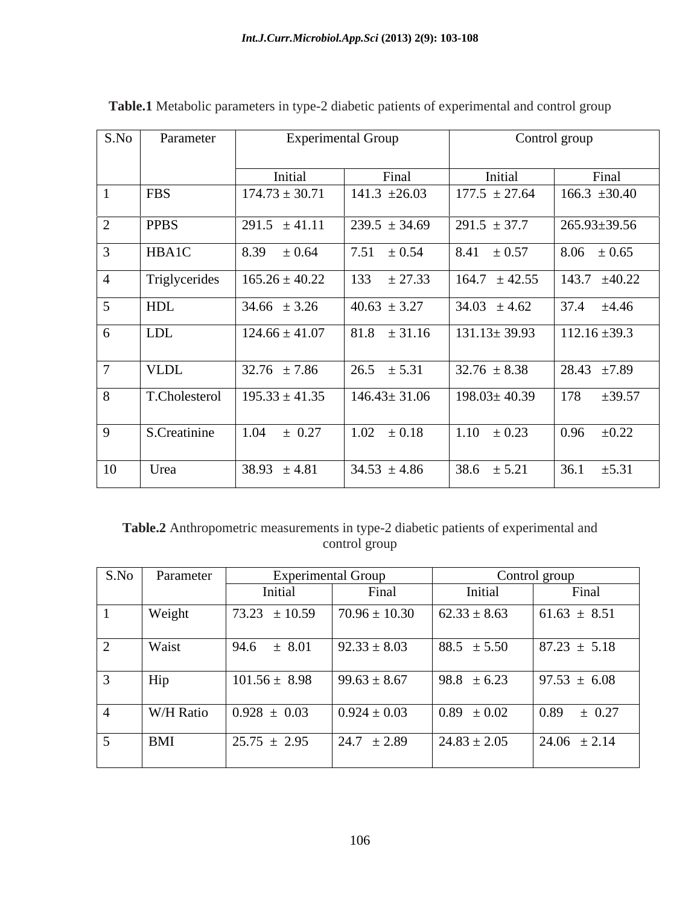| S.No           | Parameter     | <b>Experimental Group</b> |                    | Control group      |                    |
|----------------|---------------|---------------------------|--------------------|--------------------|--------------------|
|                |               | Initial                   | Final              | Initial            | Final              |
|                | FBS           | $174.73 \pm 30.71$        | 141.3 $\pm 26.03$  | $177.5 \pm 27.64$  | $166.3 \pm 30.40$  |
| 2              | <b>PPBS</b>   | 291.5 $\pm 41.11$         | $239.5 \pm 34.69$  | $291.5 \pm 37.7$   | $265.93 \pm 39.56$ |
| 3              | HBA1C         | $8.39 \pm 0.64$           | 7.51<br>$\pm 0.54$ | 8.41 $\pm 0.57$    | $8.06 \pm 0.65$    |
| $\overline{4}$ | Triglycerides | $165.26 \pm 40.22$        | $133 \pm 27.33$    | $164.7 \pm 42.55$  | 143.7 $\pm 40.22$  |
| 5              | HDL           | $34.66 \pm 3.26$          | $40.63 \pm 3.27$   | $34.03 \pm 4.62$   | 37.4 $\pm 4.46$    |
| 6              | <b>LDL</b>    | $124.66 \pm 41.07$        | $81.8 \pm 31.16$   | $131.13 \pm 39.93$ | $112.16 \pm 39.3$  |
| $\mathcal{L}$  | <b>VLDL</b>   | $32.76 \pm 7.86$          | $26.5 \pm 5.31$    | $32.76 \pm 8.38$   | 28.43 $\pm 7.89$   |
| 8              | T.Cholesterol | $195.33 \pm 41.35$        | $146.43 \pm 31.06$ | $198.03 \pm 40.39$ | $\pm 39.57$<br>178 |
| 9              | S.Creatinine  | $\pm 0.27$<br>1.04        | $1.02 \pm 0.18$    | $1.10 \pm 0.23$    | $0.96 \pm 0.22$    |
| 10             | Urea          | 38.93 $\pm 4.81$          | $34.53 \pm 4.86$   | 38.6 $\pm$ 5.21    | 36.1<br>$\pm 5.31$ |

**Table.1** Metabolic parameters in type-2 diabetic patients of experimental and control group

 **Table.2** Anthropometric measurements in type-2 diabetic patients of experimental and control group control group

| S.No | Parameter  | <b>Experimental Group</b> |                   | Control group    |                  |
|------|------------|---------------------------|-------------------|------------------|------------------|
|      |            | Initial                   | Final             | Initial          | Final            |
|      | Weight     | 73.23<br>± 10.59          | $70.96 \pm 10.30$ | $62.33 \pm 8.63$ | $61.63 \pm 8.51$ |
|      | Waist      | 94.6<br>$\pm$ 8.01        | $92.33 \pm 8.03$  | $88.5 \pm 5.50$  | $87.23 \pm 5.18$ |
|      | Hip        | $101.56 \pm 8.98$         | $99.63 \pm 8.67$  | $98.8 \pm 6.23$  | $97.53 \pm 6.08$ |
|      | W/H Ratio  | $0.928 \pm 0.03$          | $0.924 \pm 0.03$  | $0.89 \pm 0.02$  | $0.89 \pm 0.27$  |
|      | <b>BMI</b> | $25.75 \pm 2.95$          | $24.7 \pm 2.89$   | $24.83 \pm 2.05$ | $24.06 \pm 2.14$ |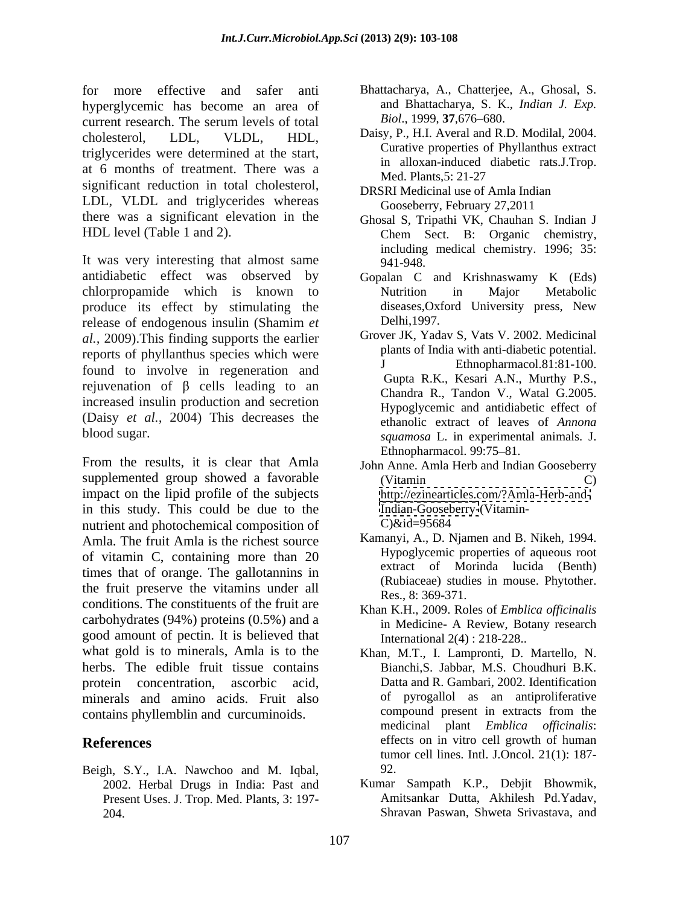for more effective and safer anti Bhattacharya, A., Chatterjee, A., Ghosal, S. hyperglycemic has become an area of and Bhattacharya, S. K<br>current research The serum levels of total Biol., 1999, 37,676–680. current research. The serum levels of total  $Biol., 1999, 37,676-680.$ cholesterol, LDL, VLDL, HDL, Daisy, P., H.I. Averal and R.D. Modilal, 2004. triglycerides were determined at the start, at 6 months of treatment. There was a manufactured Med. Plants, 5: 21-27 significant reduction in total cholesterol, LDL, VLDL and triglycerides whereas Gooseberry, February 27,2011 there was a significant elevation in the HDL level (Table 1 and 2). Chem Sect. B: Organic chemistry,

It was very interesting that almost same  $941-948$ . antidiabetic effect was observed by Gopalan C and Krishnaswamy K (Eds) chlorpropamide which is known to produce its effect by stimulating the diseases, Oxidence its effect by stimulating the diseases, Oxidence is not be the state of the period of the period of the period of the period of the period of the period of the perio release of endogenous insulin (Shamim *et al.,* 2009).This finding supports the earlier reports of phyllanthus species which were found to involve in regeneration and rejuvenation of  $\beta$  cells leading to an increased insulin production and secretion (Daisy *et al.,* 2004) This decreases the

From the results, it is clear that Amla John Anne. Amla Herb and Indian Gooseberry supplemented group showed a favorable (Vitamin C) impact on the lipid profile of the subjects in this study. This could be due to the Indian-Gooseb<br>nutrient and photochemical composition of C)&id=95684 nutrient and photochemical composition of Amla. The fruit Amla is the richest source of vitamin C, containing more than 20 times that of orange. The gallotannins in the fruit preserve the vitamins under all conditions. The constituents of the fruit are carbohydrates (94%) proteins (0.5%) and a good amount of pectin. It is believed that what gold is to minerals, Amla is to the Khan, M.T., I. Lampronti, D. Martello, N. herbs. The edible fruit tissue contains protein concentration, ascorbic acid, Datta and R. Gambari, 2002. Identification minerals and amino acids. Fruit also of pyrogallol as an antiproliferative contains phyllemblin and curcuminoids contains phyllemblin and curcuminoids.

Beigh, S.Y., I.A. Nawchoo and M. Iqbal, 2002. Herbal Drugs in India: Past and Present Uses. J. Trop. Med. Plants, 3: 197-

- and Bhattacharya, S. K., *Indian J. Exp. Biol*., 1999, **37**,676 680.
- Curative properties of Phyllanthus extract in alloxan-induced diabetic rats.J.Trop. Med. Plants,5: 21-27
- DRSRI Medicinal use of Amla Indian Gooseberry, February 27,2011
- Ghosal S, Tripathi VK, Chauhan S. Indian J Chem Sect. B: Organic chemistry, including medical chemistry. 1996; 35: 941-948.
- Nutrition in Major Metabolic diseases,Oxford University press, New Delhi,1997.
- blood sugar. *squamosa* L. in experimental animals. J. Grover JK, Yadav S, Vats V. 2002. Medicinal plants of India with anti-diabetic potential. Ethnopharmacol.81:81-100. Gupta R.K., Kesari A.N., Murthy P.S., Chandra R., Tandon V., Watal G.2005. Hypoglycemic and antidiabetic effect of ethanolic extract of leaves of *Annona* Ethnopharmacol. 99:75–81.
	- (Vitamin C) <http://ezinearticles.com/?Amla-Herb-and-><Indian-Gooseberry->(Vitamin-  $C)$ &id=95684
	- Kamanyi, A., D. Njamen and B. Nikeh, 1994. Hypoglycemic properties of aqueous root extract of Morinda lucida (Benth) (Rubiaceae) studies in mouse. Phytother. Res., 8: 369-371.
	- Khan K.H., 2009. Roles of *Emblica officinalis* in Medicine- A Review, Botany research International 2(4) : 218-228..
- **References** effects on in vitro cell growth of human effects Bianchi,S. Jabbar, M.S. Choudhuri B.K. of pyrogallol as an antiproliferative compound present in extracts from the medicinal plant *Emblica officinalis*: tumor cell lines. Intl. J.Oncol. 21(1): 187- 92.
	- 204. Shravan Paswan, Shweta Srivastava, andKumar Sampath K.P., Debjit Bhowmik, Amitsankar Dutta, Akhilesh Pd.Yadav,